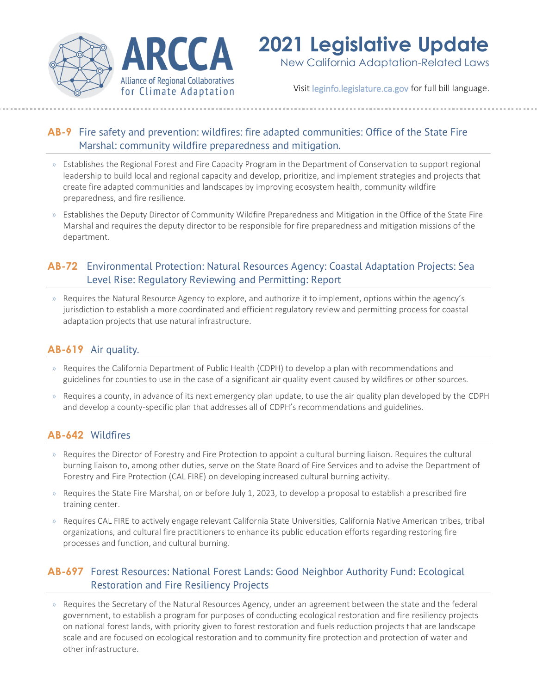

# **2021 Legislative Update**

New California Adaptation-Related Laws

Visit [leginfo.legislature.ca.gov](http://leginfo.legislature.ca.gov/) for full bill language.

# **[AB-9](https://leginfo.legislature.ca.gov/faces/billTextClient.xhtml?bill_id=202120220AB9)** Fire safety and prevention: wildfires: fire adapted communities: Office of the State Fire Marshal: community wildfire preparedness and mitigation.

- » Establishes the Regional Forest and Fire Capacity Program in the Department of Conservation to support regional leadership to build local and regional capacity and develop, prioritize, and implement strategies and projects that create fire adapted communities and landscapes by improving ecosystem health, community wildfire preparedness, and fire resilience.
- » Establishes the Deputy Director of Community Wildfire Preparedness and Mitigation in the Office of the State Fire Marshal and requires the deputy director to be responsible for fire preparedness and mitigation missions of the department.

# **[AB-72](http://leginfo.legislature.ca.gov/faces/billTextClient.xhtml?bill_id=202120220AB72)** Environmental Protection: Natural Resources Agency: Coastal Adaptation Projects: Sea Level Rise: Regulatory Reviewing and Permitting: Report

» Requires the Natural Resource Agency to explore, and authorize it to implement, options within the agency's jurisdiction to establish a more coordinated and efficient regulatory review and permitting process for coastal adaptation projects that use natural infrastructure.

# **[AB-619](https://leginfo.legislature.ca.gov/faces/billNavClient.xhtml?bill_id=202120220AB619)** Air quality.

- » Requires the California Department of Public Health (CDPH) to develop a plan with recommendations and guidelines for counties to use in the case of a significant air quality event caused by wildfires or other sources.
- » Requires a county, in advance of its next emergency plan update, to use the air quality plan developed by the CDPH and develop a county-specific plan that addresses all of CDPH's recommendations and guidelines.

# **[AB-642](https://leginfo.legislature.ca.gov/faces/billNavClient.xhtml?bill_id=202120220AB642)** Wildfires

- » Requires the Director of Forestry and Fire Protection to appoint a cultural burning liaison. Requires the cultural burning liaison to, among other duties, serve on the State Board of Fire Services and to advise the Department of Forestry and Fire Protection (CAL FIRE) on developing increased cultural burning activity.
- » Requires the State Fire Marshal, on or before July 1, 2023, to develop a proposal to establish a prescribed fire training center.
- » Requires CAL FIRE to actively engage relevant California State Universities, California Native American tribes, tribal organizations, and cultural fire practitioners to enhance its public education efforts regarding restoring fire processes and function, and cultural burning.

# **[AB-697](https://leginfo.legislature.ca.gov/faces/billTextClient.xhtml?bill_id=202120220AB697)** Forest Resources: National Forest Lands: Good Neighbor Authority Fund: Ecological Restoration and Fire Resiliency Projects

» Requires the Secretary of the Natural Resources Agency, under an agreement between the state and the federal government, to establish a program for purposes of conducting ecological restoration and fire resiliency projects on national forest lands, with priority given to forest restoration and fuels reduction projects that are landscape scale and are focused on ecological restoration and to community fire protection and protection of water and other infrastructure.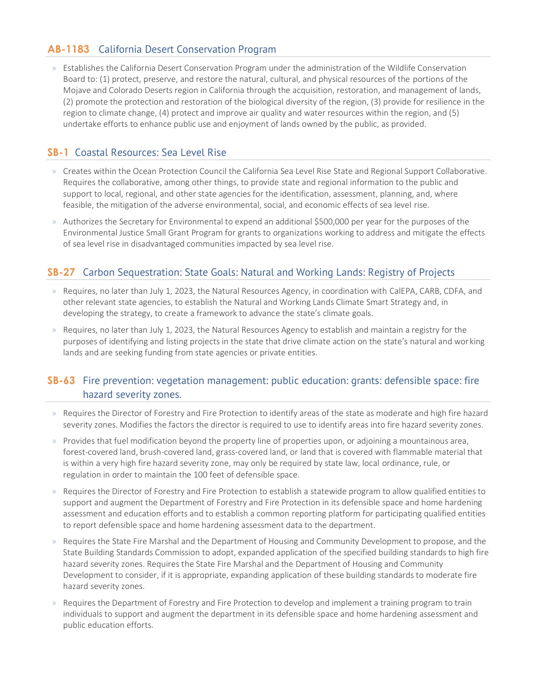#### **[AB-1183](https://leginfo.legislature.ca.gov/faces/billTextClient.xhtml?bill_id=202120220AB1183)** California Desert Conservation Program

» Establishes the California Desert Conservation Program under the administration of the Wildlife Conservation Board to: (1) protect, preserve, and restore the natural, cultural, and physical resources of the portions of the Mojave and Colorado Deserts region in California through the acquisition, restoration, and management of lands, (2) promote the protection and restoration of the biological diversity of the region, (3) provide for resilience in the region to climate change, (4) protect and improve air quality and water resources within the region, and (5) undertake efforts to enhance public use and enjoyment of lands owned by the public, as provided.

## **[SB-1](https://leginfo.legislature.ca.gov/faces/billTextClient.xhtml?bill_id=202120220SB1)** Coastal Resources: Sea Level Rise

- » Creates within the Ocean Protection Council the California Sea Level Rise State and Regional Support Collaborative. Requires the collaborative, among other things, to provide state and regional information to the public and support to local, regional, and other state agencies for the identification, assessment, planning, and, where feasible, the mitigation of the adverse environmental, social, and economic effects of sea level rise.
- » Authorizes the Secretary for Environmental to expend an additional \$500,000 per year for the purposes of the Environmental Justice Small Grant Program for grants to organizations working to address and mitigate the effects of sea level rise in disadvantaged communities impacted by sea level rise.

#### **[SB-27](https://leginfo.legislature.ca.gov/faces/billNavClient.xhtml?bill_id=202120220SB27)** Carbon Sequestration: State Goals: Natural and Working Lands: Registry of Projects

- » Requires, no later than July 1, 2023, the Natural Resources Agency, in coordination with CalEPA, CARB, CDFA, and other relevant state agencies, to establish the Natural and Working Lands Climate Smart Strategy and, in developing the strategy, to create a framework to advance the state's climate goals.
- » Requires, no later than July 1, 2023, the Natural Resources Agency to establish and maintain a registry for the purposes of identifying and listing projects in the state that drive climate action on the state's natural and wor king lands and are seeking funding from state agencies or private entities.

#### **[SB-63](https://leginfo.legislature.ca.gov/faces/billTextClient.xhtml?bill_id=202120220SB63)** Fire prevention: vegetation management: public education: grants: defensible space: fire hazard severity zones.

- » Requires the Director of Forestry and Fire Protection to identify areas of the state as moderate and high fire hazard severity zones. Modifies the factors the director is required to use to identify areas into fire hazard severity zones.
- » Provides that fuel modification beyond the property line of properties upon, or adjoining a mountainous area, forest-covered land, brush-covered land, grass-covered land, or land that is covered with flammable material that is within a very high fire hazard severity zone, may only be required by state law, local ordinance, rule, or regulation in order to maintain the 100 feet of defensible space.
- » Requires the Director of Forestry and Fire Protection to establish a statewide program to allow qualified entities to support and augment the Department of Forestry and Fire Protection in its defensible space and home hardening assessment and education efforts and to establish a common reporting platform for participating qualified entities to report defensible space and home hardening assessment data to the department.
- » Requires the State Fire Marshal and the Department of Housing and Community Development to propose, and the State Building Standards Commission to adopt, expanded application of the specified building standards to high fire hazard severity zones. Requires the State Fire Marshal and the Department of Housing and Community Development to consider, if it is appropriate, expanding application of these building standards to moderate fire hazard severity zones.
- » Requires the Department of Forestry and Fire Protection to develop and implement a training program to train individuals to support and augment the department in its defensible space and home hardening assessment and public education efforts.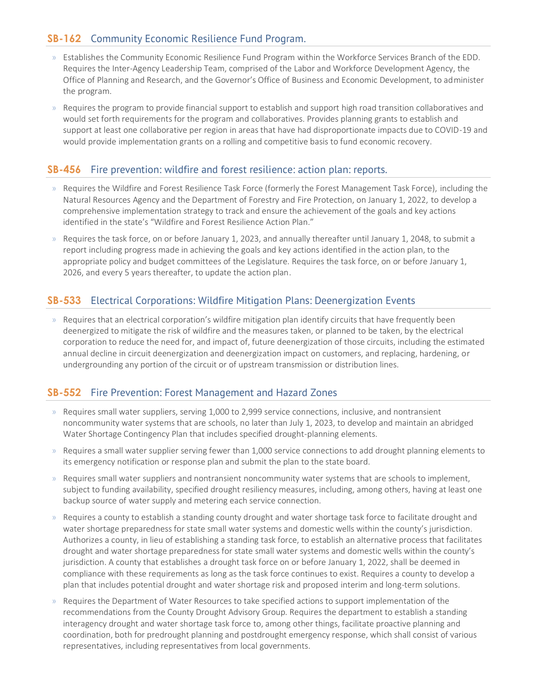## **[SB-162](https://leginfo.legislature.ca.gov/faces/billTextClient.xhtml?bill_id=202120220SB162)** Community Economic Resilience Fund Program.

- » Establishes the Community Economic Resilience Fund Program within the Workforce Services Branch of the EDD. Requires the Inter-Agency Leadership Team, comprised of the Labor and Workforce Development Agency, the Office of Planning and Research, and the Governor's Office of Business and Economic Development, to administer the program.
- » Requires the program to provide financial support to establish and support high road transition collaboratives and would set forth requirements for the program and collaboratives. Provides planning grants to establish and support at least one collaborative per region in areas that have had disproportionate impacts due to COVID-19 and would provide implementation grants on a rolling and competitive basis to fund economic recovery.

#### **[SB-456](https://leginfo.legislature.ca.gov/faces/billNavClient.xhtml?bill_id=202120220SB456)** Fire prevention: wildfire and forest resilience: action plan: reports.

- » Requires the Wildfire and Forest Resilience Task Force (formerly the Forest Management Task Force), including the Natural Resources Agency and the Department of Forestry and Fire Protection, on January 1, 2022, to develop a comprehensive implementation strategy to track and ensure the achievement of the goals and key actions identified in the state's "Wildfire and Forest Resilience Action Plan."
- » Requires the task force, on or before January 1, 2023, and annually thereafter until January 1, 2048, to submit a report including progress made in achieving the goals and key actions identified in the action plan, to the appropriate policy and budget committees of the Legislature. Requires the task force, on or before January 1, 2026, and every 5 years thereafter, to update the action plan.

#### **[SB-533](https://leginfo.legislature.ca.gov/faces/billNavClient.xhtml?bill_id=202120220SB533)** Electrical Corporations: Wildfire Mitigation Plans: Deenergization Events

» Requires that an electrical corporation's wildfire mitigation plan identify circuits that have frequently been deenergized to mitigate the risk of wildfire and the measures taken, or planned to be taken, by the electrical corporation to reduce the need for, and impact of, future deenergization of those circuits, including the estimated annual decline in circuit deenergization and deenergization impact on customers, and replacing, hardening, or undergrounding any portion of the circuit or of upstream transmission or distribution lines.

#### **[SB-552](https://leginfo.legislature.ca.gov/faces/billNavClient.xhtml?bill_id=202120220SB552)** Fire Prevention: Forest Management and Hazard Zones

- » Requires small water suppliers, serving 1,000 to 2,999 service connections, inclusive, and nontransient noncommunity water systems that are schools, no later than July 1, 2023, to develop and maintain an abridged Water Shortage Contingency Plan that includes specified drought-planning elements.
- » Requires a small water supplier serving fewer than 1,000 service connections to add drought planning elements to its emergency notification or response plan and submit the plan to the state board.
- » Requires small water suppliers and nontransient noncommunity water systems that are schools to implement, subject to funding availability, specified drought resiliency measures, including, among others, having at least one backup source of water supply and metering each service connection.
- » Requires a county to establish a standing county drought and water shortage task force to facilitate drought and water shortage preparedness for state small water systems and domestic wells within the county's jurisdiction. Authorizes a county, in lieu of establishing a standing task force, to establish an alternative process that facilitates drought and water shortage preparedness for state small water systems and domestic wells within the county's jurisdiction. A county that establishes a drought task force on or before January 1, 2022, shall be deemed in compliance with these requirements as long as the task force continues to exist. Requires a county to develop a plan that includes potential drought and water shortage risk and proposed interim and long-term solutions.
- » Requires the Department of Water Resources to take specified actions to support implementation of the recommendations from the County Drought Advisory Group. Requires the department to establish a standing interagency drought and water shortage task force to, among other things, facilitate proactive planning and coordination, both for predrought planning and postdrought emergency response, which shall consist of various representatives, including representatives from local governments.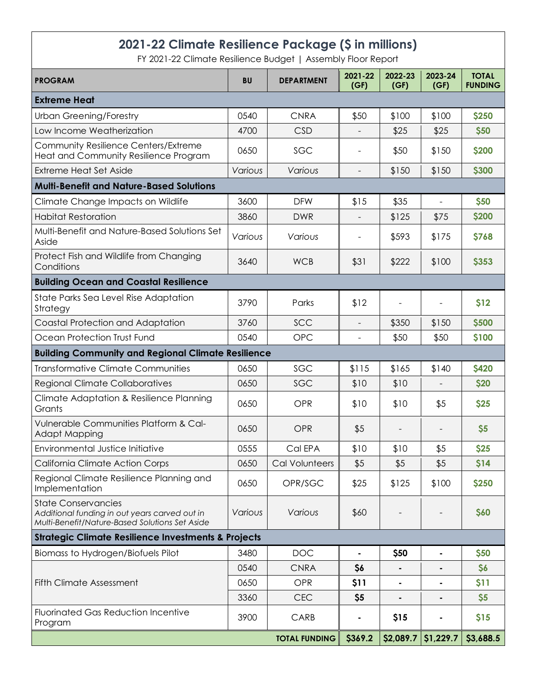# **2021-22 Climate Resilience Package (\$ in millions)**

FY 2021-22 Climate Resilience Budget | Assembly Floor Report

| <b>PROGRAM</b>                                                                                                                | <b>BU</b> | <b>DEPARTMENT</b>    | 2021-22<br>(GF)          | 2022-23<br>(GF) | 2023-24<br>(GF)              | <b>TOTAL</b><br><b>FUNDING</b> |
|-------------------------------------------------------------------------------------------------------------------------------|-----------|----------------------|--------------------------|-----------------|------------------------------|--------------------------------|
| <b>Extreme Heat</b>                                                                                                           |           |                      |                          |                 |                              |                                |
| <b>Urban Greening/Forestry</b>                                                                                                | 0540      | <b>CNRA</b>          | \$50                     | \$100           | \$100                        | \$250                          |
| Low Income Weatherization                                                                                                     | 4700      | <b>CSD</b>           |                          | \$25            | \$25                         | \$50                           |
| Community Resilience Centers/Extreme<br>Heat and Community Resilience Program                                                 | 0650      | SGC                  |                          | \$50            | \$150                        | \$200                          |
| <b>Extreme Heat Set Aside</b>                                                                                                 | Various   | Various              | $\overline{\phantom{a}}$ | \$150           | \$150                        | \$300                          |
| <b>Multi-Benefit and Nature-Based Solutions</b>                                                                               |           |                      |                          |                 |                              |                                |
| Climate Change Impacts on Wildlife                                                                                            | 3600      | <b>DFW</b>           | \$15                     | \$35            | $\overline{a}$               | \$50                           |
| <b>Habitat Restoration</b>                                                                                                    | 3860      | <b>DWR</b>           |                          | \$125           | \$75                         | \$200                          |
| Multi-Benefit and Nature-Based Solutions Set<br>Aside                                                                         | Various   | Various              |                          | \$593           | \$175                        | <b>\$768</b>                   |
| Protect Fish and Wildlife from Changing<br>Conditions                                                                         | 3640      | <b>WCB</b>           | \$31                     | \$222           | \$100                        | <b>\$353</b>                   |
| <b>Building Ocean and Coastal Resilience</b>                                                                                  |           |                      |                          |                 |                              |                                |
| State Parks Sea Level Rise Adaptation<br>Strategy                                                                             | 3790      | Parks                | \$12                     |                 |                              | \$12                           |
| Coastal Protection and Adaptation                                                                                             | 3760      | SCC                  | $\blacksquare$           | \$350           | \$150                        | \$500                          |
| Ocean Protection Trust Fund                                                                                                   | 0540      | <b>OPC</b>           | $\blacksquare$           | \$50            | \$50                         | \$100                          |
| <b>Building Community and Regional Climate Resilience</b>                                                                     |           |                      |                          |                 |                              |                                |
| <b>Transformative Climate Communities</b>                                                                                     | 0650      | SGC                  | \$115                    | \$165           | \$140                        | <b>\$420</b>                   |
| <b>Regional Climate Collaboratives</b>                                                                                        | 0650      | SGC                  | \$10                     | \$10            |                              | \$20                           |
| <b>Climate Adaptation &amp; Resilience Planning</b><br>Grants                                                                 | 0650      | OPR                  | \$10                     | \$10            | \$5                          | \$25                           |
| Vulnerable Communities Platform & Cal-<br><b>Adapt Mapping</b>                                                                | 0650      | OPR                  | \$5                      |                 |                              | \$5                            |
| Environmental Justice Initiative                                                                                              | 0555      | Cal EPA              | \$10                     | \$10            | \$5                          | \$25                           |
| California Climate Action Corps                                                                                               | 0650      | Cal Volunteers       | \$5                      | \$5             | \$5                          | \$14                           |
| Regional Climate Resilience Planning and<br>Implementation                                                                    | 0650      | OPR/SGC              | \$25                     | \$125           | \$100                        | \$250                          |
| <b>State Conservancies</b><br>Additional funding in out years carved out in<br>Multi-Benefit/Nature-Based Solutions Set Aside | Various   | Various              | \$60                     |                 |                              | \$60                           |
| <b>Strategic Climate Resilience Investments &amp; Projects</b>                                                                |           |                      |                          |                 |                              |                                |
| Biomass to Hydrogen/Biofuels Pilot                                                                                            | 3480      | <b>DOC</b>           |                          | \$50            | $\qquad \qquad \blacksquare$ | \$50                           |
|                                                                                                                               | 0540      | <b>CNRA</b>          | \$6                      |                 | ٠                            | \$6                            |
| <b>Fifth Climate Assessment</b>                                                                                               | 0650      | OPR                  | \$11                     |                 | ٠                            | \$11                           |
|                                                                                                                               | 3360      | <b>CEC</b>           | \$5                      |                 |                              | \$5                            |
| <b>Fluorinated Gas Reduction Incentive</b><br>Program                                                                         | 3900      | CARB                 |                          | \$15            | ۰                            | \$15                           |
|                                                                                                                               |           | <b>TOTAL FUNDING</b> | \$369.2                  | \$2,089.7       | \$1,229.7                    | \$3,688.5                      |